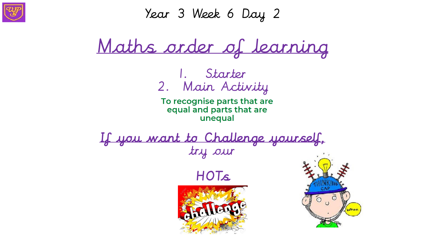

Year 3 Week 6 Day 2

Maths order of learning

1. Starter 2. Main Activity

To recognise parts that are equal and parts that are unequal

If you want to Challenge yourself, try our





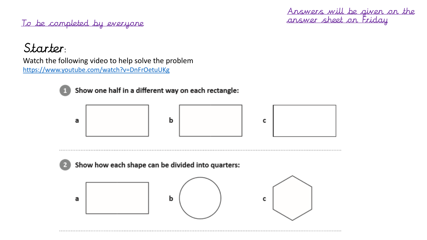To be completed by everyone

Answers will be given on the answer sheet on Friday

### Starter:

Watch the following video to help solve the problem <https://www.youtube.com/watch?v=DnFrOetuUKg>



Show one half in a different way on each rectangle:



#### Show how each shape can be divided into quarters:

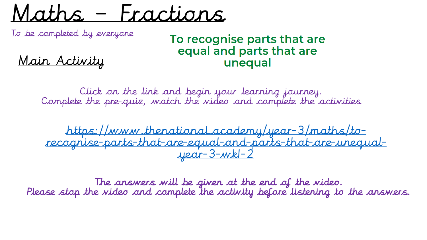Maths – Fractions

To be completed by everyone

### To recognise parts that are equal and parts that are unequal

Main Activity

Click on the link and begin your learning journey. Complete the pre-quiz, watch the video and complete the activities

https://www.thenational.academy/year-3/maths/to[recognise-parts-that-are-equal-and-parts-that-are-unequal](https://www.thenational.academy/year-3/maths/to-recognise-parts-that-are-equal-and-parts-that-are-unequal-year-3-wk1-2)year-3-wk1-2

The answers will be given at the end of the video. Please stop the video and complete the activity before listening to the answers.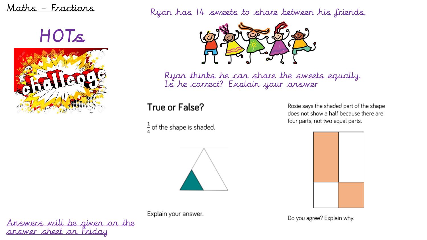#### Maths – Fractions

HOTs



Ryan has 14 sweets to share between his friends.



Ryan thinks he can share the sweets equally. Is he correct? Explain your answer

#### True or False?

 $\frac{1}{4}$  of the shape is shaded.

Rosie says the shaded part of the shape does not show a half because there are four parts, not two equal parts.





Do you agree? Explain why.

Answers will be given on the answer sheet on Friday

Explain your answer.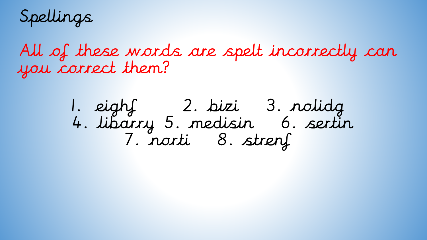Spellings

All of these words are spelt incorrectly can you correct them?

1. eight 1. 2. bizi 3. nolidg<br>4. libarry 5. medisin 6. sertin<br>7. norti 8. strenf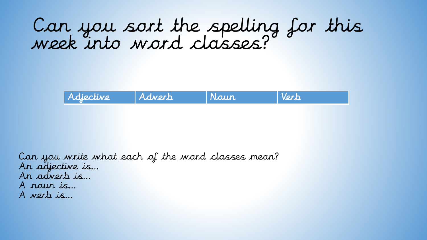### Can you sort the spelling for this week into word classes?



Can you write what each of the word classes mean? An adjective is… An adverb is… A noun is… A verb is…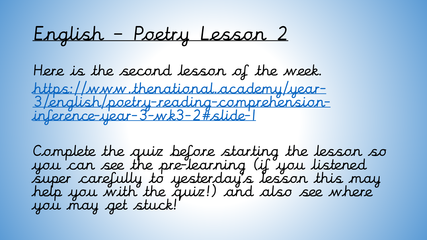English – Poetry Lesson 2

Here is the second lesson of the week. https://www.thenational.academy/year-[3/english/poetry-reading-comprehension](https://www.thenational.academy/year-3/english/poetry-reading-comprehension-inference-year-3-wk3-2#slide-1)inference-year-3-wk3-2#slide-1

Complete the quiz before starting the lesson so you can see the pre-learning (if you listened super carefully to yesterday's lesson this may help you with the quiz!) and also see where you may get stuck!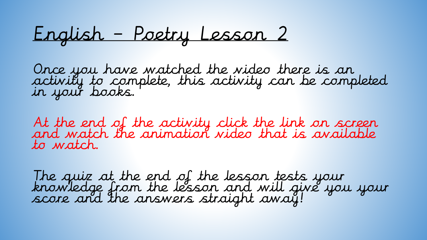English – Poetry Lesson 2

Once you have watched the video there is an activity to complete, this activity can be completed in your books.

At the end of the activity click the link on screen and watch the animation video that is available to watch.

The quiz at the end of the lesson tests your knowledge from the lesson and will give you your score and the answers straight away!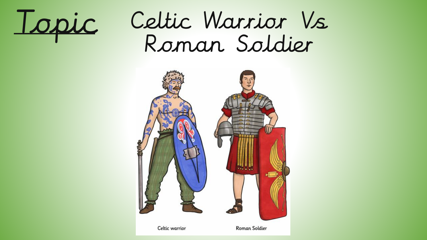

# Celtic Warrior Vs Roman Soldier

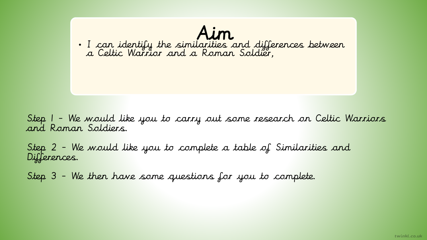

Step 1 - We would like you to carry out some research on Celtic Warriors and Roman Soldiers.

Step 2 - We would like you to complete a table of Similarities and Differences.

Step 3 - We then have some questions for you to complete.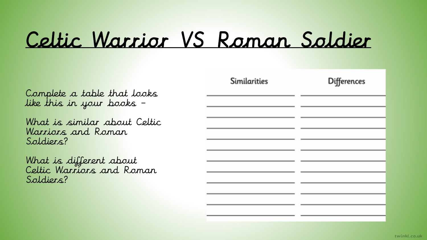# Celtic Warrior VS Roman Soldier

Complete a table that looks like this in your books –

What is similar about Celtic Warriors and Roman Soldiers?

What is different about Celtic Warriors and Roman Soldiers?

| Similarities | Differences |
|--------------|-------------|
|              |             |
|              |             |
|              |             |
|              |             |
|              |             |
|              |             |
|              |             |